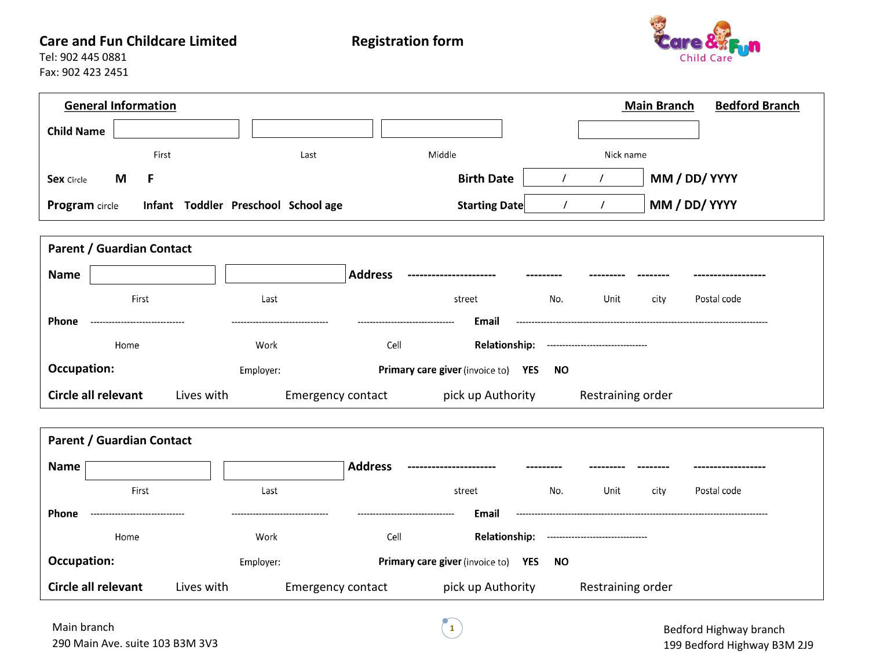## Care and Fun Childcare Limited **Registration** form



Tel: 902 445 0881 Fax: 902 423 2451

| <b>General Information</b>                                   |                                               | <b>Main Branch</b><br><b>Bedford Branch</b> |  |  |  |
|--------------------------------------------------------------|-----------------------------------------------|---------------------------------------------|--|--|--|
| <b>Child Name</b>                                            |                                               |                                             |  |  |  |
| First                                                        | Middle<br>Last                                | Nick name                                   |  |  |  |
| M<br>F<br><b>Sex</b> Circle                                  | <b>Birth Date</b>                             | MM / DD/ YYYY<br>$\prime$<br>$\prime$       |  |  |  |
| Infant Toddler Preschool School age<br><b>Program</b> circle | <b>Starting Date</b>                          | MM / DD/ YYYY<br>$\prime$                   |  |  |  |
| <b>Parent / Guardian Contact</b>                             |                                               |                                             |  |  |  |
| <b>Name</b>                                                  | <b>Address</b>                                |                                             |  |  |  |
| First<br>Last                                                | street                                        | No.<br>Postal code<br>Unit<br>city          |  |  |  |
| <b>Phone</b>                                                 | Email                                         |                                             |  |  |  |
| Work<br>Home                                                 | Cell<br><b>Relationship:</b>                  | -----------------------------------         |  |  |  |
| <b>Occupation:</b><br>Employer:                              | Primary care giver (invoice to) YES           | <b>NO</b>                                   |  |  |  |
| Circle all relevant<br>Lives with                            | <b>Emergency contact</b><br>pick up Authority | Restraining order                           |  |  |  |
|                                                              |                                               |                                             |  |  |  |
| <b>Parent / Guardian Contact</b>                             |                                               |                                             |  |  |  |
| <b>Name</b>                                                  | <b>Address</b>                                |                                             |  |  |  |
| First<br>Last                                                | street                                        | Postal code<br>No.<br>Unit<br>city          |  |  |  |
| Phone                                                        | Email                                         |                                             |  |  |  |
| Home<br>Work                                                 | <b>Relationship:</b><br>Cell                  |                                             |  |  |  |
| <b>Occupation:</b><br>Employer:                              | Primary care giver (invoice to) YES           | <b>NO</b>                                   |  |  |  |
| Circle all relevant<br>Lives with                            | <b>Emergency contact</b><br>pick up Authority | Restraining order                           |  |  |  |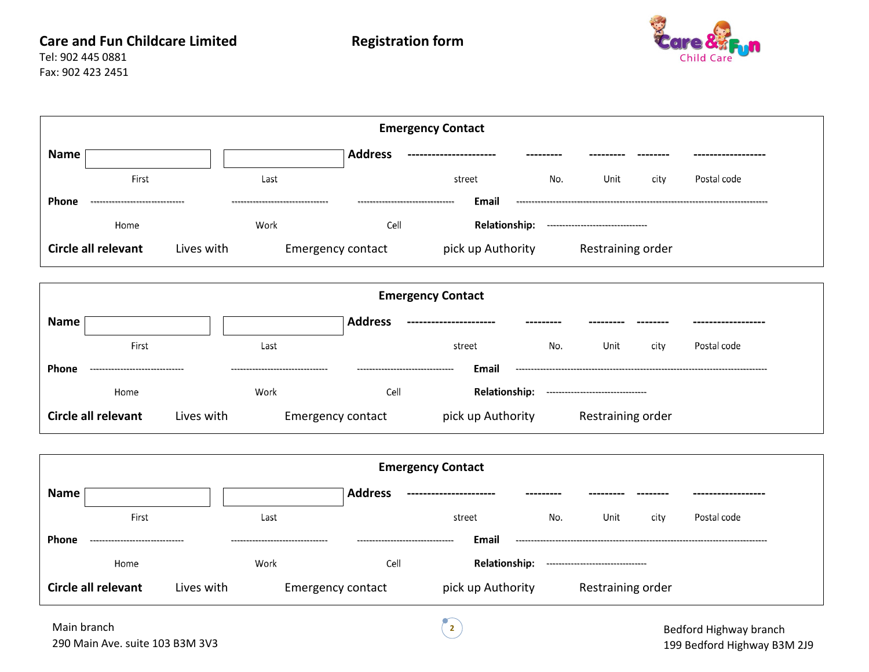

Tel: 902 445 0881 Fax: 902 423 2451

 $\Gamma$ 

| <b>Emergency Contact</b> |                        |            |      |                          |                          |     |                                     |      |             |  |
|--------------------------|------------------------|------------|------|--------------------------|--------------------------|-----|-------------------------------------|------|-------------|--|
| Name                     |                        |            |      | <b>Address</b>           |                          |     |                                     |      |             |  |
|                          | First                  |            | Last |                          | street                   | No. | Unit                                | city | Postal code |  |
| Phone                    |                        |            |      |                          | Email                    |     |                                     |      |             |  |
|                          | Home                   |            | Work | Cell                     | <b>Relationship:</b>     |     | ----------------------------------  |      |             |  |
| Circle all relevant      |                        | Lives with |      | <b>Emergency contact</b> | pick up Authority        |     | Restraining order                   |      |             |  |
|                          |                        |            |      |                          |                          |     |                                     |      |             |  |
| <b>Emergency Contact</b> |                        |            |      |                          |                          |     |                                     |      |             |  |
| <b>Name</b>              |                        |            |      | <b>Address</b>           |                          |     |                                     |      |             |  |
|                          | First                  |            | Last |                          | street                   | No. | Unit                                | city | Postal code |  |
| Phone                    |                        |            |      |                          | Email                    |     |                                     |      |             |  |
|                          | Home                   |            | Work | Cell                     | <b>Relationship:</b>     |     | ----------------------------------- |      |             |  |
| Circle all relevant      |                        | Lives with |      | <b>Emergency contact</b> | pick up Authority        |     | Restraining order                   |      |             |  |
|                          |                        |            |      |                          |                          |     |                                     |      |             |  |
|                          |                        |            |      |                          | <b>Emergency Contact</b> |     |                                     |      |             |  |
| <b>Name</b>              |                        |            |      | <b>Address</b>           |                          |     |                                     |      |             |  |
|                          | First                  |            | Last |                          | street                   | No. | Unit                                | city | Postal code |  |
| Phone                    | ---------------------- |            |      |                          | Email                    |     |                                     |      |             |  |
|                          | Home                   |            | Work | Cell                     | <b>Relationship:</b>     |     |                                     |      |             |  |
| Circle all relevant      |                        | Lives with |      | <b>Emergency contact</b> | pick up Authority        |     | Restraining order                   |      |             |  |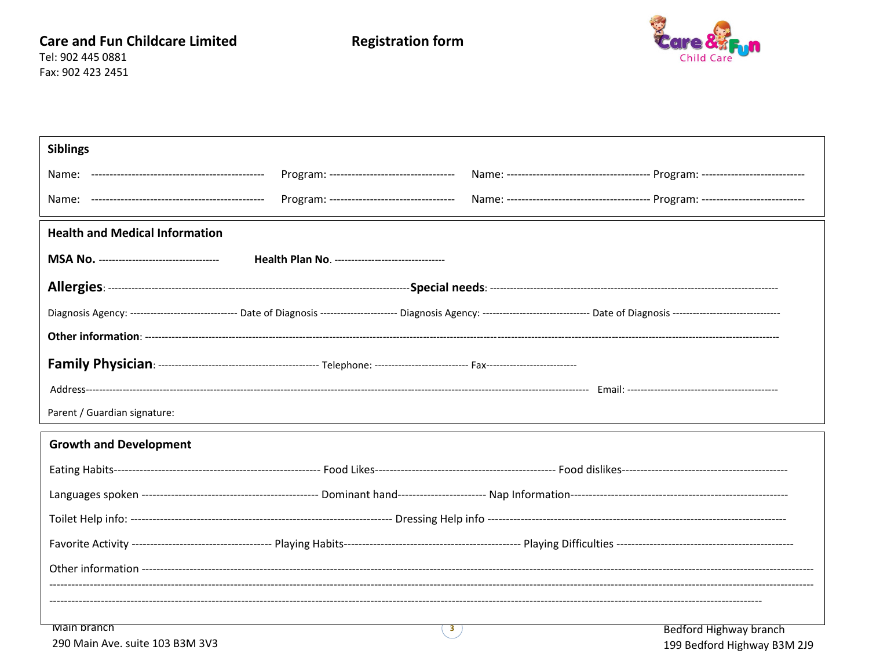**Care and Fun Childcare Limited** 

Tel: 902 445 0881 Fax: 902 423 2451



| <b>Siblings</b>                       |                                                  |   |                                                                                                                                                                                           |  |
|---------------------------------------|--------------------------------------------------|---|-------------------------------------------------------------------------------------------------------------------------------------------------------------------------------------------|--|
|                                       | Program: ----------------------------------      |   |                                                                                                                                                                                           |  |
|                                       | Program: ----------------------------------      |   |                                                                                                                                                                                           |  |
| <b>Health and Medical Information</b> |                                                  |   |                                                                                                                                                                                           |  |
|                                       | Health Plan No. -------------------------------- |   |                                                                                                                                                                                           |  |
|                                       |                                                  |   |                                                                                                                                                                                           |  |
|                                       |                                                  |   | Diagnosis Agency: ----------------------------- Date of Diagnosis ---------------------- Diagnosis Agency: ----------------------------- Date of Diagnosis ------------------------------ |  |
|                                       |                                                  |   |                                                                                                                                                                                           |  |
|                                       |                                                  |   |                                                                                                                                                                                           |  |
|                                       |                                                  |   |                                                                                                                                                                                           |  |
| Parent / Guardian signature:          |                                                  |   |                                                                                                                                                                                           |  |
| <b>Growth and Development</b>         |                                                  |   |                                                                                                                                                                                           |  |
|                                       |                                                  |   |                                                                                                                                                                                           |  |
|                                       |                                                  |   |                                                                                                                                                                                           |  |
|                                       |                                                  |   |                                                                                                                                                                                           |  |
|                                       |                                                  |   |                                                                                                                                                                                           |  |
|                                       |                                                  |   |                                                                                                                                                                                           |  |
|                                       |                                                  |   |                                                                                                                                                                                           |  |
| Main branch                           |                                                  | 3 | Bedford Highway branch                                                                                                                                                                    |  |
|                                       |                                                  |   |                                                                                                                                                                                           |  |